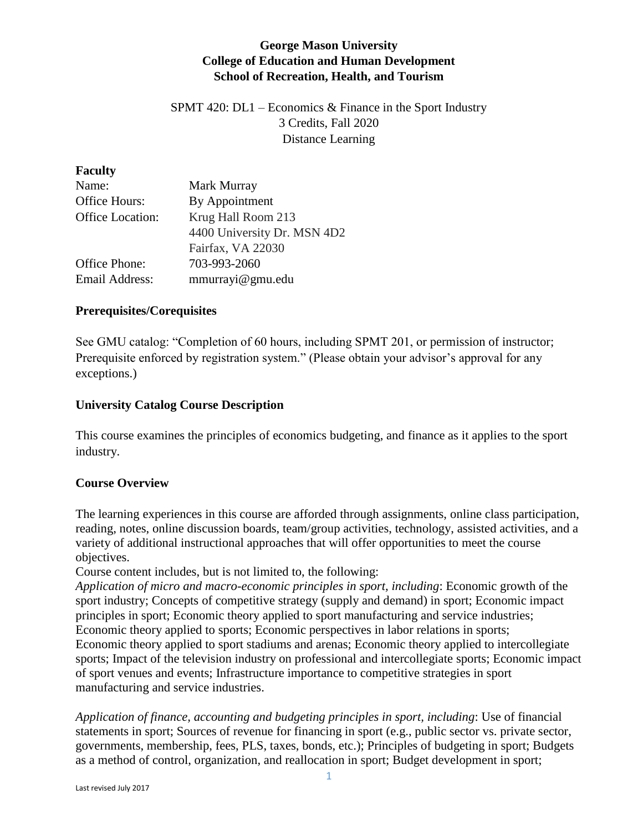# **George Mason University College of Education and Human Development School of Recreation, Health, and Tourism**

SPMT 420: DL1 – Economics  $\&$  Finance in the Sport Industry 3 Credits, Fall 2020 Distance Learning

### **Faculty**

| Name:            | Mark Murray                 |
|------------------|-----------------------------|
| Office Hours:    | By Appointment              |
| Office Location: | Krug Hall Room 213          |
|                  | 4400 University Dr. MSN 4D2 |
|                  | Fairfax, VA 22030           |
| Office Phone:    | 703-993-2060                |
| Email Address:   | mmurrayi@gmu.edu            |

## **Prerequisites/Corequisites**

See GMU catalog: "Completion of 60 hours, including SPMT 201, or permission of instructor; Prerequisite enforced by registration system." (Please obtain your advisor's approval for any exceptions.)

## **University Catalog Course Description**

This course examines the principles of economics budgeting, and finance as it applies to the sport industry.

## **Course Overview**

The learning experiences in this course are afforded through assignments, online class participation, reading, notes, online discussion boards, team/group activities, technology, assisted activities, and a variety of additional instructional approaches that will offer opportunities to meet the course objectives.

Course content includes, but is not limited to, the following:

*Application of micro and macro-economic principles in sport, including*: Economic growth of the sport industry; Concepts of competitive strategy (supply and demand) in sport; Economic impact principles in sport; Economic theory applied to sport manufacturing and service industries; Economic theory applied to sports; Economic perspectives in labor relations in sports; Economic theory applied to sport stadiums and arenas; Economic theory applied to intercollegiate sports; Impact of the television industry on professional and intercollegiate sports; Economic impact of sport venues and events; Infrastructure importance to competitive strategies in sport manufacturing and service industries.

*Application of finance, accounting and budgeting principles in sport, including*: Use of financial statements in sport; Sources of revenue for financing in sport (e.g., public sector vs. private sector, governments, membership, fees, PLS, taxes, bonds, etc.); Principles of budgeting in sport; Budgets as a method of control, organization, and reallocation in sport; Budget development in sport;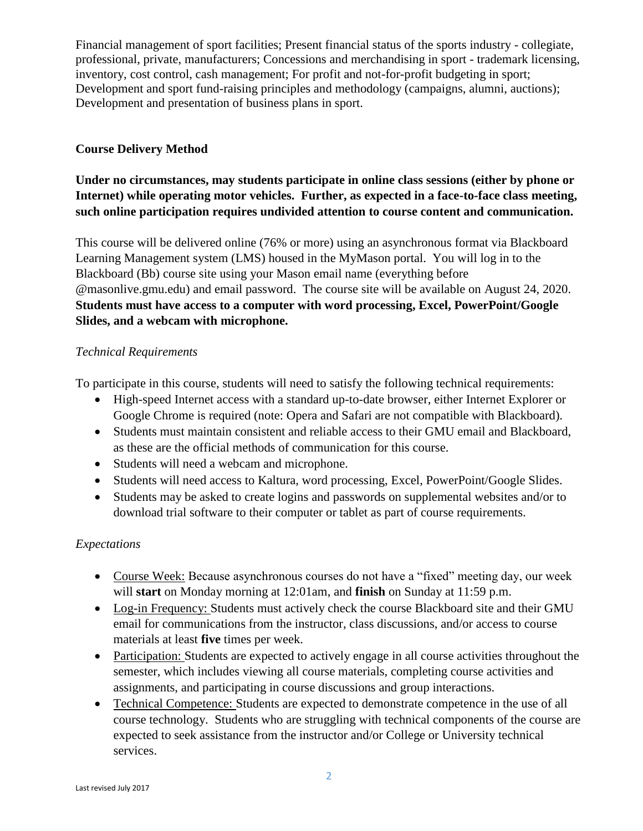Financial management of sport facilities; Present financial status of the sports industry - collegiate, professional, private, manufacturers; Concessions and merchandising in sport - trademark licensing, inventory, cost control, cash management; For profit and not-for-profit budgeting in sport; Development and sport fund-raising principles and methodology (campaigns, alumni, auctions); Development and presentation of business plans in sport.

# **Course Delivery Method**

# **Under no circumstances, may students participate in online class sessions (either by phone or Internet) while operating motor vehicles. Further, as expected in a face-to-face class meeting, such online participation requires undivided attention to course content and communication.**

This course will be delivered online (76% or more) using an asynchronous format via Blackboard Learning Management system (LMS) housed in the MyMason portal. You will log in to the Blackboard (Bb) course site using your Mason email name (everything before @masonlive.gmu.edu) and email password. The course site will be available on August 24, 2020. **Students must have access to a computer with word processing, Excel, PowerPoint/Google Slides, and a webcam with microphone.**

## *Technical Requirements*

To participate in this course, students will need to satisfy the following technical requirements:

- High-speed Internet access with a standard up-to-date browser, either Internet Explorer or Google Chrome is required (note: Opera and Safari are not compatible with Blackboard).
- Students must maintain consistent and reliable access to their GMU email and Blackboard, as these are the official methods of communication for this course.
- Students will need a webcam and microphone.
- Students will need access to Kaltura, word processing, Excel, PowerPoint/Google Slides.
- Students may be asked to create logins and passwords on supplemental websites and/or to download trial software to their computer or tablet as part of course requirements.

## *Expectations*

- Course Week: Because asynchronous courses do not have a "fixed" meeting day, our week will **start** on Monday morning at 12:01am, and **finish** on Sunday at 11:59 p.m.
- Log-in Frequency: Students must actively check the course Blackboard site and their GMU email for communications from the instructor, class discussions, and/or access to course materials at least **five** times per week.
- Participation: Students are expected to actively engage in all course activities throughout the semester, which includes viewing all course materials, completing course activities and assignments, and participating in course discussions and group interactions.
- Technical Competence: Students are expected to demonstrate competence in the use of all course technology. Students who are struggling with technical components of the course are expected to seek assistance from the instructor and/or College or University technical services.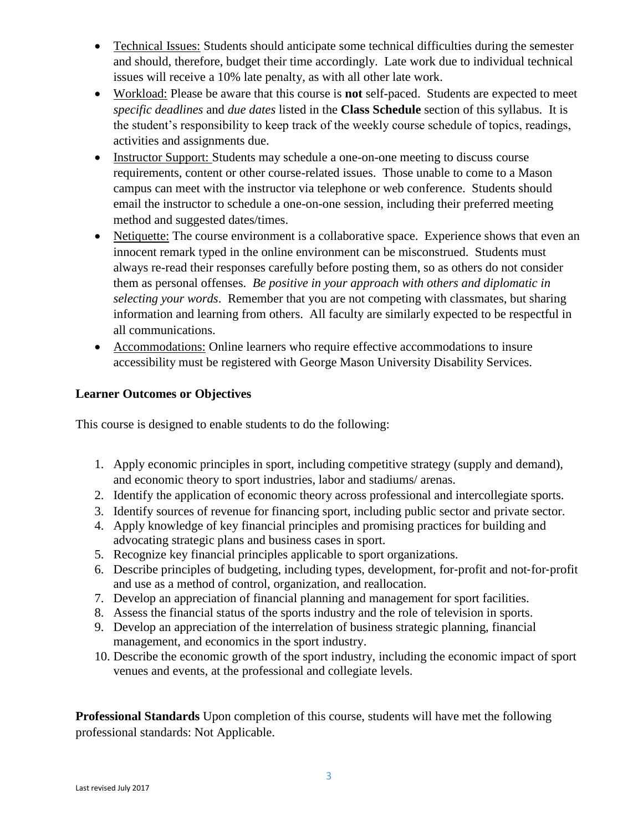- Technical Issues: Students should anticipate some technical difficulties during the semester and should, therefore, budget their time accordingly. Late work due to individual technical issues will receive a 10% late penalty, as with all other late work.
- Workload: Please be aware that this course is **not** self-paced. Students are expected to meet *specific deadlines* and *due dates* listed in the **Class Schedule** section of this syllabus. It is the student's responsibility to keep track of the weekly course schedule of topics, readings, activities and assignments due.
- Instructor Support: Students may schedule a one-on-one meeting to discuss course requirements, content or other course-related issues. Those unable to come to a Mason campus can meet with the instructor via telephone or web conference. Students should email the instructor to schedule a one-on-one session, including their preferred meeting method and suggested dates/times.
- Netiquette: The course environment is a collaborative space. Experience shows that even an innocent remark typed in the online environment can be misconstrued. Students must always re-read their responses carefully before posting them, so as others do not consider them as personal offenses. *Be positive in your approach with others and diplomatic in selecting your words*. Remember that you are not competing with classmates, but sharing information and learning from others. All faculty are similarly expected to be respectful in all communications.
- Accommodations: Online learners who require effective accommodations to insure accessibility must be registered with George Mason University Disability Services.

# **Learner Outcomes or Objectives**

This course is designed to enable students to do the following:

- 1. Apply economic principles in sport, including competitive strategy (supply and demand), and economic theory to sport industries, labor and stadiums/ arenas.
- 2. Identify the application of economic theory across professional and intercollegiate sports.
- 3. Identify sources of revenue for financing sport, including public sector and private sector.
- 4. Apply knowledge of key financial principles and promising practices for building and advocating strategic plans and business cases in sport.
- 5. Recognize key financial principles applicable to sport organizations.
- 6. Describe principles of budgeting, including types, development, for‐profit and not‐for‐profit and use as a method of control, organization, and reallocation.
- 7. Develop an appreciation of financial planning and management for sport facilities.
- 8. Assess the financial status of the sports industry and the role of television in sports.
- 9. Develop an appreciation of the interrelation of business strategic planning, financial management, and economics in the sport industry.
- 10. Describe the economic growth of the sport industry, including the economic impact of sport venues and events, at the professional and collegiate levels.

**Professional Standards** Upon completion of this course, students will have met the following professional standards: Not Applicable.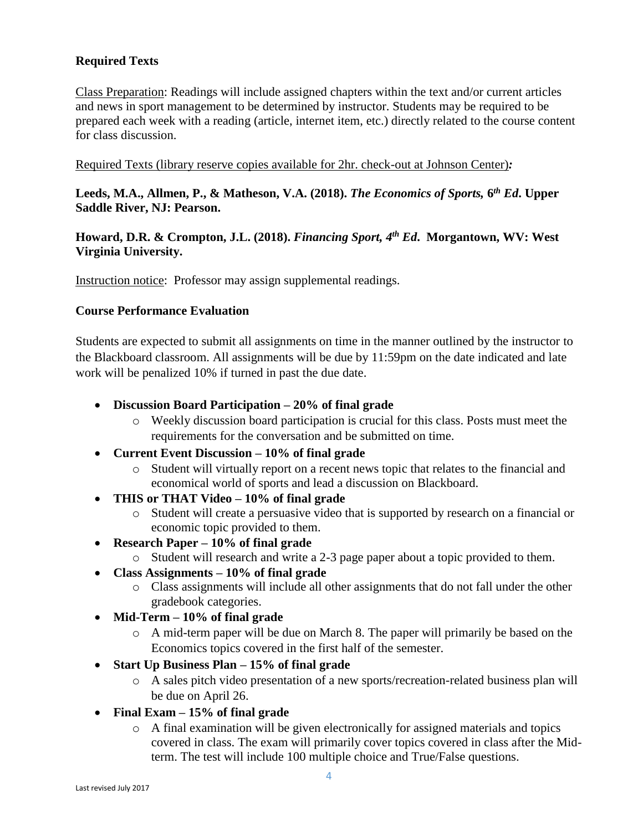# **Required Texts**

Class Preparation: Readings will include assigned chapters within the text and/or current articles and news in sport management to be determined by instructor. Students may be required to be prepared each week with a reading (article, internet item, etc.) directly related to the course content for class discussion.

#### Required Texts (library reserve copies available for 2hr. check-out at Johnson Center)*:*

**Leeds, M.A., Allmen, P., & Matheson, V.A. (2018).** *The Economics of Sports,* **6** *th Ed***. Upper Saddle River, NJ: Pearson.**

## **Howard, D.R. & Crompton, J.L. (2018).** *Financing Sport, 4 th Ed***. Morgantown, WV: West Virginia University.**

Instruction notice: Professor may assign supplemental readings.

### **Course Performance Evaluation**

Students are expected to submit all assignments on time in the manner outlined by the instructor to the Blackboard classroom. All assignments will be due by 11:59pm on the date indicated and late work will be penalized 10% if turned in past the due date.

- **Discussion Board Participation – 20% of final grade**
	- o Weekly discussion board participation is crucial for this class. Posts must meet the requirements for the conversation and be submitted on time.
- **Current Event Discussion – 10% of final grade**
	- o Student will virtually report on a recent news topic that relates to the financial and economical world of sports and lead a discussion on Blackboard.
- **THIS or THAT Video – 10% of final grade**
	- o Student will create a persuasive video that is supported by research on a financial or economic topic provided to them.
- **Research Paper – 10% of final grade**
	- o Student will research and write a 2-3 page paper about a topic provided to them.
- **Class Assignments – 10% of final grade**
	- o Class assignments will include all other assignments that do not fall under the other gradebook categories.
- **Mid-Term – 10% of final grade**
	- o A mid-term paper will be due on March 8. The paper will primarily be based on the Economics topics covered in the first half of the semester.
- **Start Up Business Plan – 15% of final grade**
	- o A sales pitch video presentation of a new sports/recreation-related business plan will be due on April 26.
- **Final Exam – 15% of final grade**
	- o A final examination will be given electronically for assigned materials and topics covered in class. The exam will primarily cover topics covered in class after the Midterm. The test will include 100 multiple choice and True/False questions.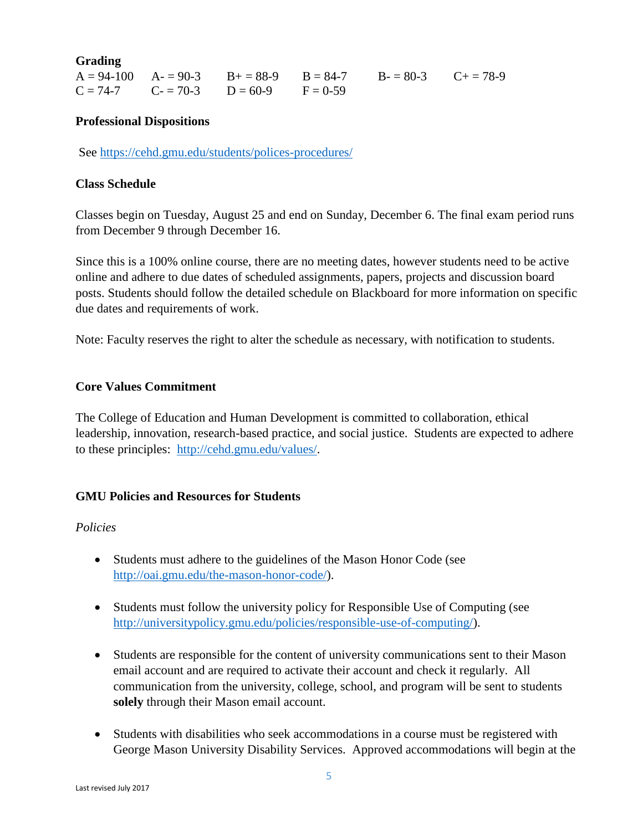**Grading**

|  |                                             | $A = 94-100$ $A = 90-3$ $B = 88-9$ $B = 84-7$ $B = 80-3$ $C = 78-9$ |  |
|--|---------------------------------------------|---------------------------------------------------------------------|--|
|  | $C = 74-7$ $C = 70-3$ $D = 60-9$ $F = 0-59$ |                                                                     |  |

### **Professional Dispositions**

See<https://cehd.gmu.edu/students/polices-procedures/>

### **Class Schedule**

Classes begin on Tuesday, August 25 and end on Sunday, December 6. The final exam period runs from December 9 through December 16.

Since this is a 100% online course, there are no meeting dates, however students need to be active online and adhere to due dates of scheduled assignments, papers, projects and discussion board posts. Students should follow the detailed schedule on Blackboard for more information on specific due dates and requirements of work.

Note: Faculty reserves the right to alter the schedule as necessary, with notification to students.

## **Core Values Commitment**

The College of Education and Human Development is committed to collaboration, ethical leadership, innovation, research-based practice, and social justice. Students are expected to adhere to these principles: [http://cehd.gmu.edu/values/.](http://cehd.gmu.edu/values/)

## **GMU Policies and Resources for Students**

### *Policies*

- Students must adhere to the guidelines of the Mason Honor Code (see [http://oai.gmu.edu/the-mason-honor-code/\)](http://oai.gmu.edu/the-mason-honor-code/).
- Students must follow the university policy for Responsible Use of Computing (see [http://universitypolicy.gmu.edu/policies/responsible-use-of-computing/\)](http://universitypolicy.gmu.edu/policies/responsible-use-of-computing/).
- Students are responsible for the content of university communications sent to their Mason email account and are required to activate their account and check it regularly. All communication from the university, college, school, and program will be sent to students **solely** through their Mason email account.
- Students with disabilities who seek accommodations in a course must be registered with George Mason University Disability Services. Approved accommodations will begin at the